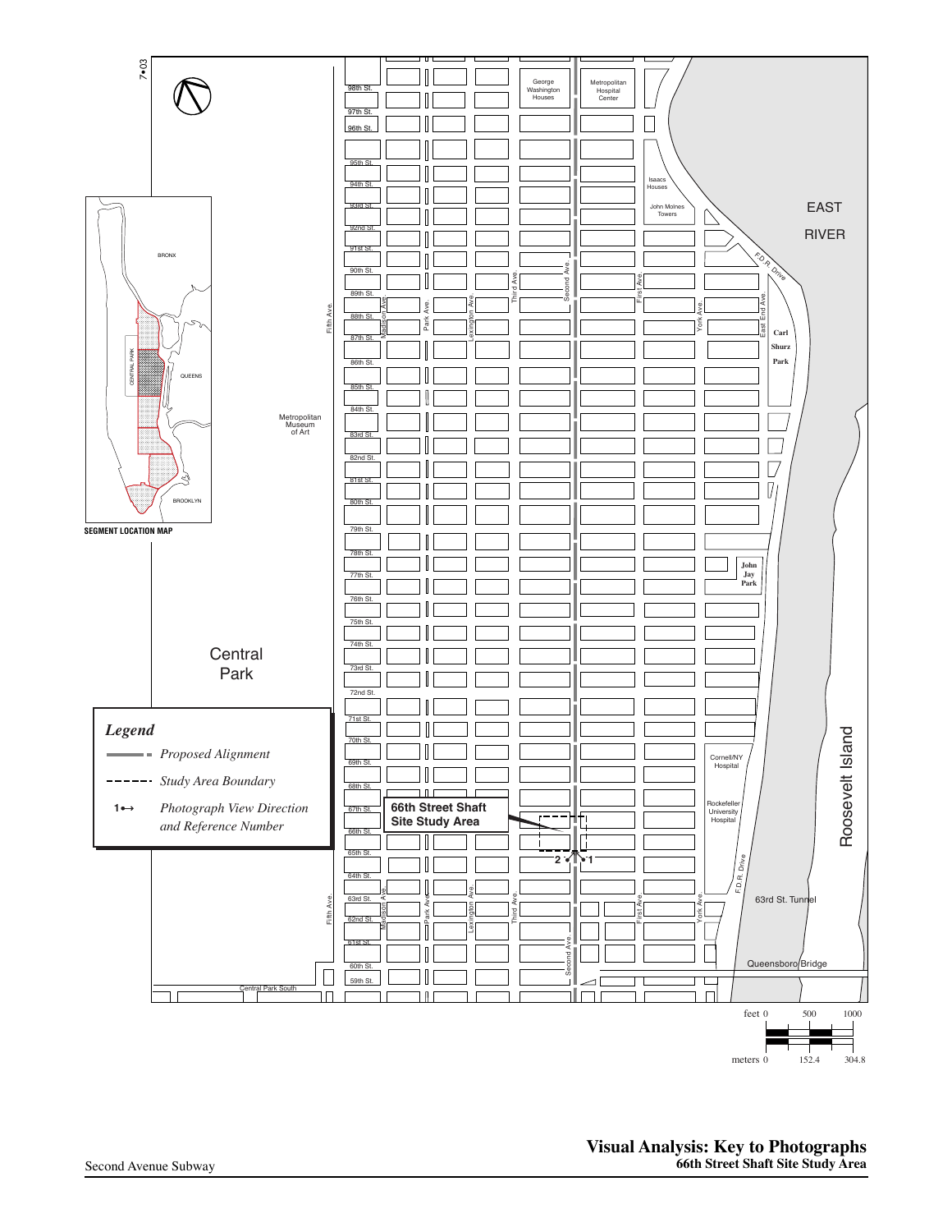